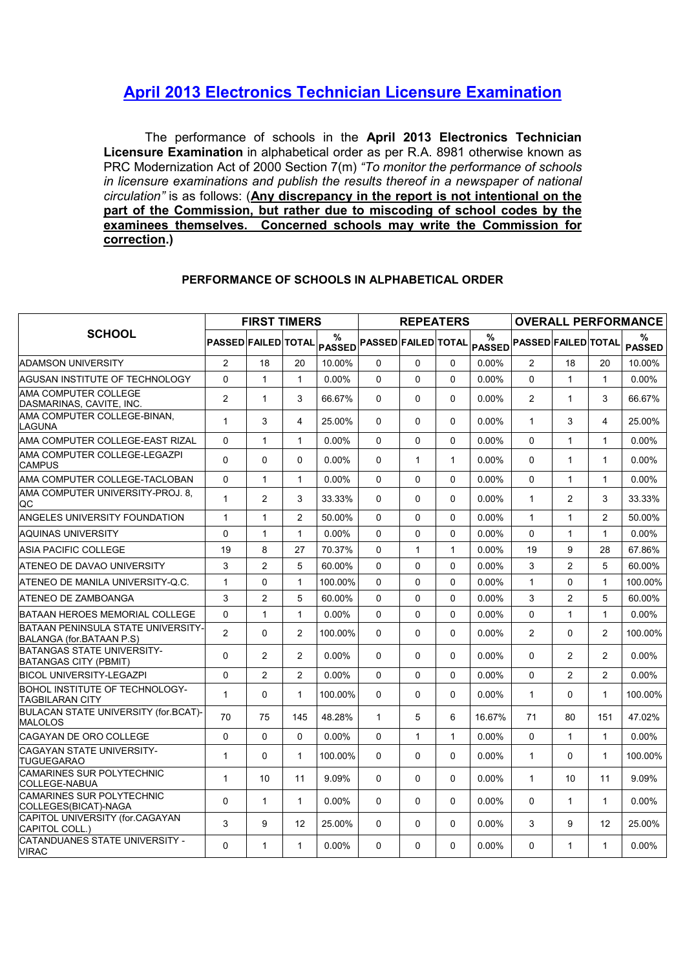## April 2013 Electronics Technician Licensure Examination

The performance of schools in the April 2013 Electronics Technician Licensure Examination in alphabetical order as per R.A. 8981 otherwise known as PRC Modernization Act of 2000 Section 7(m) "To monitor the performance of schools in licensure examinations and publish the results thereof in a newspaper of national circulation" is as follows: (Any discrepancy in the report is not intentional on the part of the Commission, but rather due to miscoding of school codes by the examinees themselves. Concerned schools may write the Commission for correction.)

|                                                                |                            | <b>FIRST TIMERS</b> |                |          |                            | <b>REPEATERS</b> |              |                                    | <b>OVERALL PERFORMANCE</b> |                |                |                    |  |  |
|----------------------------------------------------------------|----------------------------|---------------------|----------------|----------|----------------------------|------------------|--------------|------------------------------------|----------------------------|----------------|----------------|--------------------|--|--|
| <b>SCHOOL</b>                                                  | <b>PASSED FAILED TOTAL</b> |                     |                | %        | PASSED PASSED FAILED TOTAL |                  |              | $\%$<br>PASSED PASSED FAILED TOTAL |                            |                |                | %<br><b>PASSED</b> |  |  |
| <b>ADAMSON UNIVERSITY</b>                                      | 2                          | 18                  | 20             | 10.00%   | $\Omega$                   | $\Omega$         | $\Omega$     | 0.00%                              | 2                          | 18             | 20             | 10.00%             |  |  |
| AGUSAN INSTITUTE OF TECHNOLOGY                                 | $\Omega$                   | $\mathbf{1}$        | $\mathbf{1}$   | $0.00\%$ | $\Omega$                   | $\Omega$         | $\Omega$     | $0.00\%$                           | $\Omega$                   | $\mathbf{1}$   | $\mathbf{1}$   | $0.00\%$           |  |  |
| AMA COMPUTER COLLEGE<br>DASMARINAS, CAVITE, INC.               | $\overline{2}$             | $\mathbf{1}$        | 3              | 66.67%   | 0                          | 0                | 0            | $0.00\%$                           | 2                          | 1              | 3              | 66.67%             |  |  |
| AMA COMPUTER COLLEGE-BINAN.<br>LAGUNA                          | $\mathbf{1}$               | 3                   | 4              | 25.00%   | 0                          | $\mathbf{0}$     | 0            | 0.00%                              | $\mathbf{1}$               | 3              | $\overline{4}$ | 25.00%             |  |  |
| AMA COMPUTER COLLEGE-EAST RIZAL                                | $\Omega$                   | $\mathbf{1}$        | $\mathbf{1}$   | $0.00\%$ | $\Omega$                   | $\Omega$         | $\Omega$     | $0.00\%$                           | $\Omega$                   | $\mathbf{1}$   | $\mathbf{1}$   | $0.00\%$           |  |  |
| AMA COMPUTER COLLEGE-LEGAZPI<br>CAMPUS                         | $\Omega$                   | $\Omega$            | $\mathbf{0}$   | $0.00\%$ | $\Omega$                   | $\mathbf{1}$     | $\mathbf{1}$ | $0.00\%$                           | $\Omega$                   | $\mathbf{1}$   | $\mathbf{1}$   | $0.00\%$           |  |  |
| AMA COMPUTER COLLEGE-TACLOBAN                                  | $\Omega$                   | $\mathbf{1}$        | 1              | $0.00\%$ | $\Omega$                   | $\Omega$         | $\Omega$     | $0.00\%$                           | $\Omega$                   | 1              | $\mathbf 1$    | $0.00\%$           |  |  |
| AMA COMPUTER UNIVERSITY-PROJ. 8.<br>QC                         | $\mathbf{1}$               | 2                   | 3              | 33.33%   | $\Omega$                   | $\Omega$         | $\Omega$     | $0.00\%$                           | $\mathbf{1}$               | 2              | 3              | 33.33%             |  |  |
| ANGELES UNIVERSITY FOUNDATION                                  | $\mathbf{1}$               | $\mathbf{1}$        | 2              | 50.00%   | $\Omega$                   | $\Omega$         | $\Omega$     | $0.00\%$                           | $\mathbf{1}$               | $\mathbf{1}$   | $\overline{2}$ | 50.00%             |  |  |
| AQUINAS UNIVERSITY                                             | $\Omega$                   | $\mathbf{1}$        | $\mathbf{1}$   | $0.00\%$ | $\Omega$                   | $\Omega$         | $\Omega$     | $0.00\%$                           | $\Omega$                   | $\mathbf{1}$   | $\mathbf{1}$   | $0.00\%$           |  |  |
| ASIA PACIFIC COLLEGE                                           | 19                         | 8                   | 27             | 70.37%   | $\Omega$                   | 1                | $\mathbf{1}$ | 0.00%                              | 19                         | 9              | 28             | 67.86%             |  |  |
| ATENEO DE DAVAO UNIVERSITY                                     | 3                          | $\overline{2}$      | 5              | 60.00%   | 0                          | 0                | 0            | $0.00\%$                           | 3                          | $\overline{2}$ | 5              | 60.00%             |  |  |
| ATENEO DE MANILA UNIVERSITY-Q.C.                               | $\mathbf{1}$               | $\Omega$            | $\mathbf{1}$   | 100.00%  | $\Omega$                   | $\Omega$         | $\Omega$     | $0.00\%$                           | $\mathbf{1}$               | $\Omega$       | $\mathbf{1}$   | 100.00%            |  |  |
| ATENEO DE ZAMBOANGA                                            | 3                          | 2                   | 5              | 60.00%   | $\Omega$                   | $\Omega$         | $\Omega$     | $0.00\%$                           | 3                          | $\overline{2}$ | 5              | 60.00%             |  |  |
| BATAAN HEROES MEMORIAL COLLEGE                                 | $\Omega$                   | $\mathbf{1}$        | $\mathbf{1}$   | $0.00\%$ | $\Omega$                   | $\Omega$         | $\Omega$     | $0.00\%$                           | $\Omega$                   | $\mathbf{1}$   | $\mathbf{1}$   | $0.00\%$           |  |  |
| BATAAN PENINSULA STATE UNIVERSITY-<br>BALANGA (for.BATAAN P.S) | $\overline{2}$             | $\Omega$            | $\overline{2}$ | 100.00%  | $\Omega$                   | $\Omega$         | $\Omega$     | $0.00\%$                           | 2                          | $\Omega$       | 2              | 100.00%            |  |  |
| BATANGAS STATE UNIVERSITY-<br>BATANGAS CITY (PBMIT)            | $\Omega$                   | 2                   | $\overline{c}$ | $0.00\%$ | $\Omega$                   | $\Omega$         | $\Omega$     | 0.00%                              | $\Omega$                   | 2              | 2              | $0.00\%$           |  |  |
| BICOL UNIVERSITY-LEGAZPI                                       | $\Omega$                   | 2                   | 2              | $0.00\%$ | $\Omega$                   | $\Omega$         | $\Omega$     | $0.00\%$                           | $\Omega$                   | 2              | 2              | $0.00\%$           |  |  |
| BOHOL INSTITUTE OF TECHNOLOGY-<br>TAGBILARAN CITY              | $\mathbf{1}$               | 0                   | $\mathbf{1}$   | 100.00%  | 0                          | 0                | 0            | $0.00\%$                           | $\mathbf{1}$               | $\Omega$       | $\mathbf{1}$   | 100.00%            |  |  |
| BULACAN STATE UNIVERSITY (for.BCAT)-<br>MALOLOS                | 70                         | 75                  | 145            | 48.28%   | $\mathbf{1}$               | 5                | 6            | 16.67%                             | 71                         | 80             | 151            | 47.02%             |  |  |
| CAGAYAN DE ORO COLLEGE                                         | $\Omega$                   | $\Omega$            | $\mathbf{0}$   | $0.00\%$ | $\Omega$                   | $\mathbf{1}$     | $\mathbf{1}$ | $0.00\%$                           | $\Omega$                   | 1              | $\mathbf{1}$   | $0.00\%$           |  |  |
| CAGAYAN STATE UNIVERSITY-<br>TUGUEGARAO                        | $\mathbf{1}$               | $\Omega$            | $\mathbf{1}$   | 100.00%  | $\Omega$                   | $\Omega$         | $\Omega$     | $0.00\%$                           | $\mathbf{1}$               | $\Omega$       | $\mathbf{1}$   | 100.00%            |  |  |
| <b>CAMARINES SUR POLYTECHNIC</b><br>COLLEGE-NABUA              | $\mathbf{1}$               | 10                  | 11             | 9.09%    | $\Omega$                   | $\Omega$         | $\Omega$     | $0.00\%$                           | $\mathbf{1}$               | 10             | 11             | 9.09%              |  |  |
| CAMARINES SUR POLYTECHNIC<br>COLLEGES(BICAT)-NAGA              | $\Omega$                   | $\mathbf{1}$        | $\mathbf{1}$   | $0.00\%$ | 0                          | $\Omega$         | $\Omega$     | $0.00\%$                           | $\Omega$                   | $\mathbf{1}$   | $\mathbf{1}$   | $0.00\%$           |  |  |
| CAPITOL UNIVERSITY (for.CAGAYAN<br>CAPITOL COLL.)              | 3                          | 9                   | 12             | 25.00%   | $\Omega$                   | $\Omega$         | $\Omega$     | $0.00\%$                           | 3                          | 9              | 12             | 25.00%             |  |  |
| CATANDUANES STATE UNIVERSITY -<br><b>VIRAC</b>                 | $\Omega$                   | $\mathbf{1}$        | $\mathbf{1}$   | $0.00\%$ | $\Omega$                   | $\Omega$         | $\Omega$     | 0.00%                              | $\Omega$                   | $\mathbf{1}$   | $\mathbf{1}$   | $0.00\%$           |  |  |

## PERFORMANCE OF SCHOOLS IN ALPHABETICAL ORDER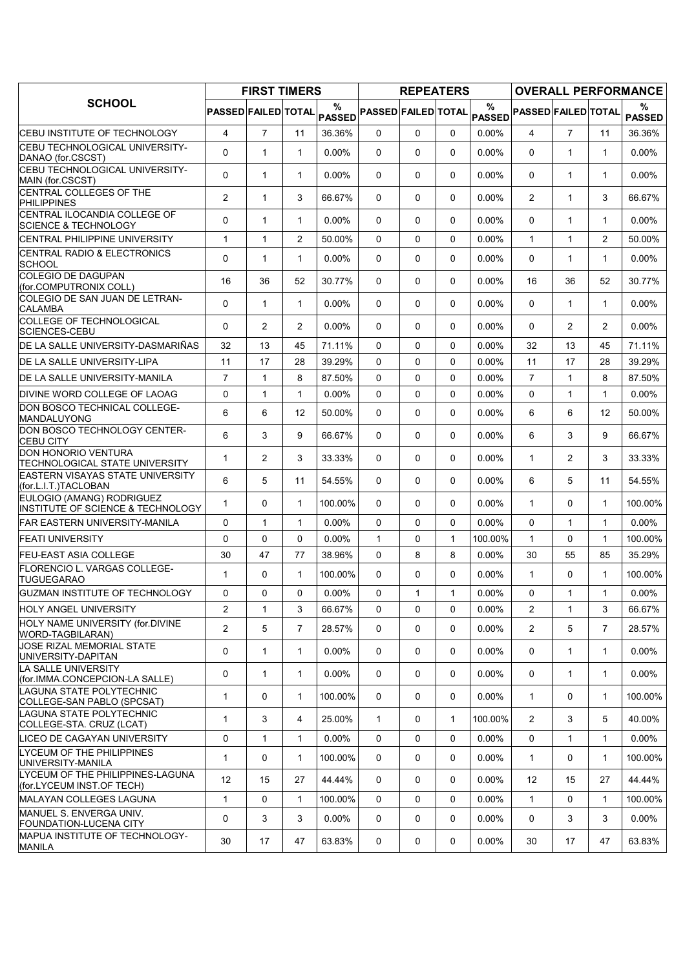|                                                                 | <b>FIRST TIMERS</b>        |              |                |                    |                     | <b>REPEATERS</b> |              |                    | <b>OVERALL PERFORMANCE</b> |                |                |                    |
|-----------------------------------------------------------------|----------------------------|--------------|----------------|--------------------|---------------------|------------------|--------------|--------------------|----------------------------|----------------|----------------|--------------------|
| <b>SCHOOL</b>                                                   | <b>PASSED FAILED TOTAL</b> |              |                | %<br><b>PASSED</b> | PASSED FAILED TOTAL |                  |              | %<br><b>PASSED</b> | <b>PASSED FAILED TOTAL</b> |                |                | %<br><b>PASSED</b> |
| CEBU INSTITUTE OF TECHNOLOGY                                    | 4                          | 7            | 11             | 36.36%             | 0                   | 0                | 0            | $0.00\%$           | 4                          | $\overline{7}$ | 11             | 36.36%             |
| CEBU TECHNOLOGICAL UNIVERSITY-<br>DANAO (for CSCST)             | $\Omega$                   | $\mathbf{1}$ | $\mathbf{1}$   | 0.00%              | $\Omega$            | $\Omega$         | 0            | 0.00%              | $\Omega$                   | $\mathbf{1}$   | 1              | $0.00\%$           |
| CEBU TECHNOLOGICAL UNIVERSITY-<br>MAIN (for.CSCST)              | 0                          | $\mathbf{1}$ | $\mathbf{1}$   | $0.00\%$           | 0                   | 0                | 0            | 0.00%              | $\Omega$                   | $\mathbf 1$    | 1              | $0.00\%$           |
| CENTRAL COLLEGES OF THE<br><b>PHILIPPINES</b>                   | $\overline{2}$             | $\mathbf{1}$ | 3              | 66.67%             | 0                   | 0                | 0            | $0.00\%$           | $\overline{2}$             | $\mathbf{1}$   | 3              | 66.67%             |
| CENTRAL ILOCANDIA COLLEGE OF<br><b>SCIENCE &amp; TECHNOLOGY</b> | 0                          | $\mathbf{1}$ | $\mathbf{1}$   | $0.00\%$           | $\Omega$            | $\Omega$         | 0            | 0.00%              | $\Omega$                   | $\mathbf{1}$   | 1              | $0.00\%$           |
| CENTRAL PHILIPPINE UNIVERSITY                                   | $\mathbf{1}$               | $\mathbf{1}$ | 2              | 50.00%             | 0                   | 0                | 0            | 0.00%              | $\mathbf{1}$               | $\mathbf{1}$   | $\overline{c}$ | 50.00%             |
| CENTRAL RADIO & ELECTRONICS<br><b>SCHOOL</b>                    | $\Omega$                   | 1            | $\mathbf{1}$   | 0.00%              | 0                   | 0                | 0            | 0.00%              | $\Omega$                   | 1              | $\mathbf{1}$   | $0.00\%$           |
| <b>COLEGIO DE DAGUPAN</b><br>(for.COMPUTRONIX COLL)             | 16                         | 36           | 52             | 30.77%             | $\Omega$            | 0                | 0            | 0.00%              | 16                         | 36             | 52             | 30.77%             |
| COLEGIO DE SAN JUAN DE LETRAN-<br><b>CALAMBA</b>                | $\Omega$                   | 1            | $\mathbf{1}$   | 0.00%              | $\Omega$            | 0                | 0            | 0.00%              | $\Omega$                   | $\mathbf{1}$   | $\mathbf{1}$   | $0.00\%$           |
| <b>COLLEGE OF TECHNOLOGICAL</b><br>SCIENCES-CEBU                | 0                          | 2            | 2              | 0.00%              | $\mathbf{0}$        | $\Omega$         | 0            | 0.00%              | $\Omega$                   | $\overline{2}$ | $\overline{2}$ | $0.00\%$           |
| DE LA SALLE UNIVERSITY-DASMARIÑAS                               | 32                         | 13           | 45             | 71.11%             | $\Omega$            | $\mathbf 0$      | $\Omega$     | 0.00%              | 32                         | 13             | 45             | 71.11%             |
| DE LA SALLE UNIVERSITY-LIPA                                     | 11                         | 17           | 28             | 39.29%             | 0                   | 0                | 0            | 0.00%              | 11                         | 17             | 28             | 39.29%             |
| DE LA SALLE UNIVERSITY-MANILA                                   | $\overline{7}$             | $\mathbf{1}$ | 8              | 87.50%             | 0                   | $\mathbf 0$      | 0            | 0.00%              | $\overline{7}$             | $\mathbf{1}$   | 8              | 87.50%             |
| DIVINE WORD COLLEGE OF LAOAG                                    | 0                          | $\mathbf{1}$ | $\mathbf{1}$   | $0.00\%$           | $\Omega$            | 0                | 0            | 0.00%              | $\Omega$                   | $\mathbf{1}$   | 1              | $0.00\%$           |
| DON BOSCO TECHNICAL COLLEGE-<br>MANDALUYONG                     | 6                          | 6            | 12             | 50.00%             | $\Omega$            | $\Omega$         | 0            | 0.00%              | 6                          | 6              | 12             | 50.00%             |
| DON BOSCO TECHNOLOGY CENTER-<br><b>CEBU CITY</b>                | 6                          | 3            | 9              | 66.67%             | $\mathbf{0}$        | 0                | 0            | $0.00\%$           | 6                          | 3              | 9              | 66.67%             |
| <b>DON HONORIO VENTURA</b><br>TECHNOLOGICAL STATE UNIVERSITY    | $\mathbf{1}$               | 2            | 3              | 33.33%             | 0                   | 0                | 0            | $0.00\%$           | $\mathbf{1}$               | $\overline{2}$ | 3              | 33.33%             |
| <b>EASTERN VISAYAS STATE UNIVERSITY</b><br>(for.L.I.T.)TACLOBAN | 6                          | 5            | 11             | 54.55%             | $\Omega$            | $\mathbf 0$      | 0            | 0.00%              | 6                          | 5              | 11             | 54.55%             |
| EULOGIO (AMANG) RODRIGUEZ<br>INSTITUTE OF SCIENCE & TECHNOLOGY  | 1                          | 0            | $\mathbf{1}$   | 100.00%            | $\mathbf{0}$        | 0                | 0            | 0.00%              | $\mathbf{1}$               | 0              | $\mathbf{1}$   | 100.00%            |
| FAR EASTERN UNIVERSITY-MANILA                                   | 0                          | $\mathbf{1}$ | $\mathbf{1}$   | 0.00%              | 0                   | $\mathbf 0$      | $\Omega$     | 0.00%              | $\Omega$                   | $\mathbf{1}$   | $\mathbf{1}$   | $0.00\%$           |
| <b>FEATI UNIVERSITY</b>                                         | 0                          | 0            | $\mathbf 0$    | 0.00%              | $\mathbf{1}$        | 0                | 1            | 100.00%            | $\mathbf{1}$               | $\Omega$       | 1              | 100.00%            |
| <b>FEU-EAST ASIA COLLEGE</b>                                    | 30                         | 47           | 77             | 38.96%             | 0                   | 8                | 8            | $0.00\%$           | 30                         | 55             | 85             | 35.29%             |
| <b>FLORENCIO L. VARGAS COLLEGE-</b><br><b>TUGUEGARAO</b>        | 1                          | 0            | $\mathbf{1}$   | 100.00%            | $\mathbf{0}$        | 0                | 0            | $0.00\%$           | $\mathbf 1$                | 0              | $\mathbf{1}$   | 100.00%            |
| GUZMAN INSTITUTE OF TECHNOLOGY                                  | 0                          | $\Omega$     | $\Omega$       | 0.00%              | $\Omega$            | $\mathbf{1}$     | $\mathbf{1}$ | $0.00\%$           | $\Omega$                   | $\mathbf{1}$   | $\mathbf{1}$   | $0.00\%$           |
| HOLY ANGEL UNIVERSITY                                           | 2                          | $\mathbf{1}$ | 3              | 66.67%             | 0                   | 0                | 0            | 0.00%              | $\overline{2}$             | $\mathbf{1}$   | 3              | 66.67%             |
| HOLY NAME UNIVERSITY (for.DIVINE<br>WORD-TAGBILARAN)            | $\overline{2}$             | 5            | $\overline{7}$ | 28.57%             | 0                   | $\mathbf 0$      | 0            | 0.00%              | $\overline{2}$             | 5              | $\overline{7}$ | 28.57%             |
| <b>JOSE RIZAL MEMORIAL STATE</b><br>UNIVERSITY-DAPITAN          | 0                          | $\mathbf 1$  | $\mathbf{1}$   | $0.00\%$           | 0                   | 0                | 0            | $0.00\%$           | 0                          | $\mathbf{1}$   | 1              | $0.00\%$           |
| LA SALLE UNIVERSITY<br>(for.IMMA.CONCEPCION-LA SALLE)           | 0                          | $\mathbf{1}$ | $\mathbf{1}$   | $0.00\%$           | 0                   | 0                | 0            | $0.00\%$           | 0                          | $\mathbf{1}$   | 1              | $0.00\%$           |
| LAGUNA STATE POLYTECHNIC<br>COLLEGE-SAN PABLO (SPCSAT)          | $\mathbf{1}$               | 0            | $\mathbf{1}$   | 100.00%            | 0                   | 0                | 0            | $0.00\%$           | $\mathbf{1}$               | $\Omega$       | $\mathbf{1}$   | 100.00%            |
| LAGUNA STATE POLYTECHNIC<br>COLLEGE-STA. CRUZ (LCAT)            | 1                          | 3            | 4              | 25.00%             | 1                   | 0                | 1            | 100.00%            | $\overline{2}$             | 3              | 5              | 40.00%             |
| LICEO DE CAGAYAN UNIVERSITY                                     | 0                          | $\mathbf{1}$ | $\mathbf{1}$   | $0.00\%$           | 0                   | $\mathbf 0$      | $\Omega$     | 0.00%              | $\Omega$                   | $\mathbf{1}$   | $\mathbf{1}$   | $0.00\%$           |
| LYCEUM OF THE PHILIPPINES<br>UNIVERSITY-MANILA                  | $\mathbf{1}$               | 0            | $\mathbf{1}$   | 100.00%            | 0                   | 0                | 0            | 0.00%              | $\mathbf{1}$               | 0              | $\mathbf{1}$   | 100.00%            |
| LYCEUM OF THE PHILIPPINES-LAGUNA<br>(for.LYCEUM INST.OF TECH)   | 12                         | 15           | 27             | 44.44%             | $\Omega$            | 0                | 0            | 0.00%              | 12                         | 15             | 27             | 44.44%             |
| MALAYAN COLLEGES LAGUNA                                         | $\mathbf{1}$               | 0            | $\mathbf{1}$   | 100.00%            | 0                   | $\mathbf 0$      | $\Omega$     | $0.00\%$           | $\mathbf{1}$               | $\Omega$       | $\mathbf{1}$   | 100.00%            |
| MANUEL S. ENVERGA UNIV.<br>FOUNDATION-LUCENA CITY               | 0                          | 3            | 3              | $0.00\%$           | 0                   | 0                | 0            | $0.00\%$           | 0                          | 3              | 3              | $0.00\%$           |
| MAPUA INSTITUTE OF TECHNOLOGY-<br><b>MANILA</b>                 | 30                         | 17           | 47             | 63.83%             | 0                   | 0                | 0            | $0.00\%$           | 30                         | 17             | 47             | 63.83%             |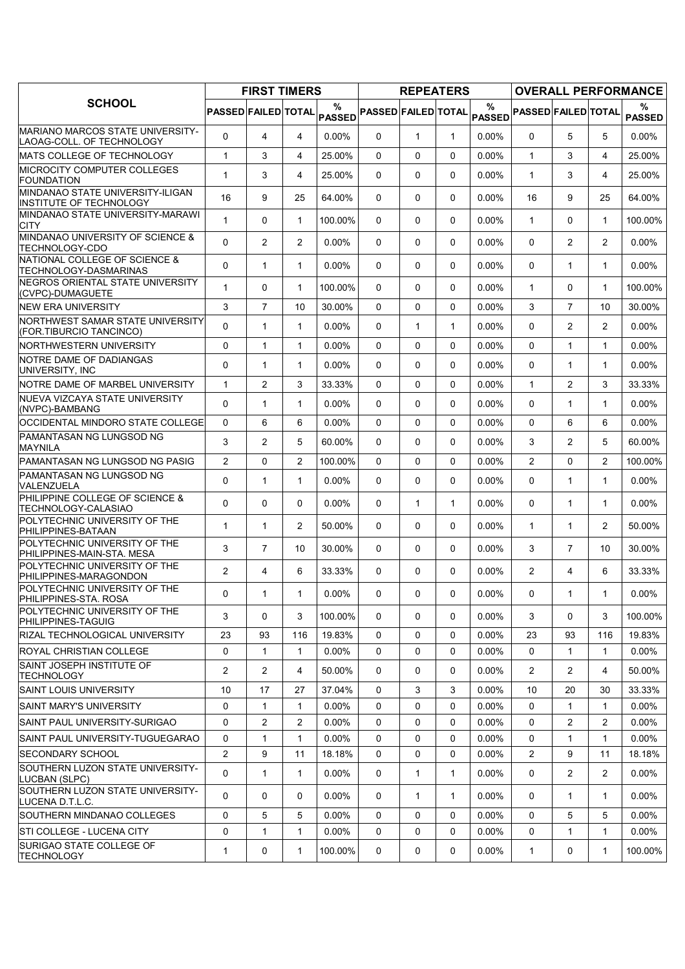|                                                                      |                     | <b>FIRST TIMERS</b> |                |                    |                            | <b>REPEATERS</b> |              |                    | <b>OVERALL PERFORMANCE</b> |                |                |                    |  |
|----------------------------------------------------------------------|---------------------|---------------------|----------------|--------------------|----------------------------|------------------|--------------|--------------------|----------------------------|----------------|----------------|--------------------|--|
| <b>SCHOOL</b>                                                        | PASSED FAILED TOTAL |                     |                | %<br><b>PASSED</b> | <b>PASSED FAILED TOTAL</b> |                  |              | %<br><b>PASSED</b> | <b>PASSED FAILED TOTAL</b> |                |                | %<br><b>PASSED</b> |  |
| <b>MARIANO MARCOS STATE UNIVERSITY-</b><br>LAOAG-COLL. OF TECHNOLOGY | $\Omega$            | 4                   | 4              | $0.00\%$           | $\Omega$                   | $\mathbf{1}$     | $\mathbf{1}$ | $0.00\%$           | $\Omega$                   | 5              | 5              | $0.00\%$           |  |
| MATS COLLEGE OF TECHNOLOGY                                           | $\mathbf{1}$        | 3                   | 4              | 25.00%             | 0                          | 0                | 0            | $0.00\%$           | $\mathbf{1}$               | 3              | 4              | 25.00%             |  |
| <b>MICROCITY COMPUTER COLLEGES</b><br><b>FOUNDATION</b>              | $\mathbf{1}$        | 3                   | 4              | 25.00%             | $\mathbf{0}$               | 0                | 0            | 0.00%              | $\mathbf{1}$               | 3              | 4              | 25.00%             |  |
| MINDANAO STATE UNIVERSITY-ILIGAN<br><b>INSTITUTE OF TECHNOLOGY</b>   | 16                  | 9                   | 25             | 64.00%             | 0                          | 0                | 0            | $0.00\%$           | 16                         | 9              | 25             | 64.00%             |  |
| MINDANAO STATE UNIVERSITY-MARAWI<br><b>CITY</b>                      | $\mathbf{1}$        | 0                   | $\mathbf{1}$   | 100.00%            | $\Omega$                   | 0                | 0            | $0.00\%$           | $\mathbf{1}$               | $\Omega$       | $\mathbf{1}$   | 100.00%            |  |
| MINDANAO UNIVERSITY OF SCIENCE &<br><b>TECHNOLOGY-CDO</b>            | $\Omega$            | 2                   | $\overline{2}$ | $0.00\%$           | $\mathbf{0}$               | 0                | 0            | $0.00\%$           | $\Omega$                   | $\overline{2}$ | $\overline{2}$ | $0.00\%$           |  |
| NATIONAL COLLEGE OF SCIENCE &<br>TECHNOLOGY-DASMARINAS               | $\Omega$            | $\mathbf{1}$        | $\mathbf{1}$   | $0.00\%$           | $\Omega$                   | 0                | 0            | $0.00\%$           | $\Omega$                   | $\mathbf{1}$   | $\mathbf{1}$   | $0.00\%$           |  |
| NEGROS ORIENTAL STATE UNIVERSITY<br>(CVPC)-DUMAGUETE                 | 1                   | 0                   | $\mathbf{1}$   | 100.00%            | $\Omega$                   | 0                | 0            | $0.00\%$           | $\mathbf{1}$               | $\Omega$       | 1              | 100.00%            |  |
| <b>NEW ERA UNIVERSITY</b>                                            | 3                   | 7                   | 10             | 30.00%             | 0                          | 0                | 0            | $0.00\%$           | 3                          | $\overline{7}$ | 10             | 30.00%             |  |
| NORTHWEST SAMAR STATE UNIVERSITY<br>(FOR.TIBURCIO TANCINCO)          | $\Omega$            | $\mathbf{1}$        | $\mathbf{1}$   | 0.00%              | $\Omega$                   | $\mathbf{1}$     | $\mathbf{1}$ | 0.00%              | $\Omega$                   | $\overline{2}$ | $\overline{2}$ | $0.00\%$           |  |
| NORTHWESTERN UNIVERSITY                                              | 0                   | $\mathbf{1}$        | $\mathbf{1}$   | $0.00\%$           | $\Omega$                   | $\Omega$         | $\Omega$     | $0.00\%$           | $\Omega$                   | $\mathbf{1}$   | $\mathbf{1}$   | $0.00\%$           |  |
| NOTRE DAME OF DADIANGAS<br>UNIVERSITY, INC                           | 0                   | $\mathbf{1}$        | $\mathbf{1}$   | $0.00\%$           | 0                          | 0                | 0            | $0.00\%$           | $\Omega$                   | $\mathbf{1}$   | $\mathbf{1}$   | $0.00\%$           |  |
| NOTRE DAME OF MARBEL UNIVERSITY                                      | $\mathbf{1}$        | 2                   | 3              | 33.33%             | 0                          | 0                | $\Omega$     | 0.00%              | $\mathbf{1}$               | 2              | 3              | 33.33%             |  |
| NUEVA VIZCAYA STATE UNIVERSITY<br>(NVPC)-BAMBANG                     | $\Omega$            | $\mathbf{1}$        | $\mathbf{1}$   | $0.00\%$           | 0                          | 0                | 0            | 0.00%              | $\mathbf{0}$               | 1              | 1              | $0.00\%$           |  |
| OCCIDENTAL MINDORO STATE COLLEGE                                     | 0                   | 6                   | 6              | 0.00%              | $\Omega$                   | 0                | $\Omega$     | 0.00%              | $\Omega$                   | 6              | 6              | $0.00\%$           |  |
| PAMANTASAN NG LUNGSOD NG<br><b>MAYNILA</b>                           | 3                   | $\overline{c}$      | 5              | 60.00%             | $\Omega$                   | 0                | 0            | $0.00\%$           | 3                          | 2              | 5              | 60.00%             |  |
| PAMANTASAN NG LUNGSOD NG PASIG                                       | $\overline{2}$      | 0                   | $\overline{2}$ | 100.00%            | $\Omega$                   | $\Omega$         | $\Omega$     | $0.00\%$           | $\overline{2}$             | $\Omega$       | $\overline{2}$ | 100.00%            |  |
| PAMANTASAN NG LUNGSOD NG<br>VALENZUELA                               | $\Omega$            | $\mathbf{1}$        | $\mathbf{1}$   | $0.00\%$           | $\Omega$                   | 0                | 0            | 0.00%              | $\Omega$                   | $\mathbf{1}$   | 1              | $0.00\%$           |  |
| PHILIPPINE COLLEGE OF SCIENCE &<br>TECHNOLOGY-CALASIAO               | $\Omega$            | 0                   | $\Omega$       | $0.00\%$           | $\Omega$                   | $\mathbf{1}$     | $\mathbf{1}$ | 0.00%              | $\mathbf{0}$               | $\mathbf{1}$   | $\mathbf{1}$   | $0.00\%$           |  |
| POLYTECHNIC UNIVERSITY OF THE<br>PHILIPPINES-BATAAN                  | $\mathbf{1}$        | $\mathbf{1}$        | $\overline{2}$ | 50.00%             | $\mathbf{0}$               | $\mathbf{0}$     | 0            | 0.00%              | $\mathbf{1}$               | $\mathbf{1}$   | $\overline{2}$ | 50.00%             |  |
| POLYTECHNIC UNIVERSITY OF THE<br>PHILIPPINES-MAIN-STA. MESA          | 3                   | $\overline{7}$      | 10             | 30.00%             | $\Omega$                   | 0                | 0            | 0.00%              | 3                          | $\overline{7}$ | 10             | 30.00%             |  |
| POLYTECHNIC UNIVERSITY OF THE<br>PHILIPPINES-MARAGONDON              | $\overline{2}$      | 4                   | 6              | 33.33%             | $\mathbf{0}$               | 0                | 0            | 0.00%              | $\overline{2}$             | 4              | 6              | 33.33%             |  |
| POLYTECHNIC UNIVERSITY OF THE<br>PHILIPPINES-STA. ROSA               | $\Omega$            | $\mathbf{1}$        | 1              | $0.00\%$           | $\Omega$                   | 0                | 0            | $0.00\%$           | $\Omega$                   | $\mathbf{1}$   | $\mathbf{1}$   | $0.00\%$           |  |
| POLYTECHNIC UNIVERSITY OF THE<br>PHILIPPINES-TAGUIG                  | 3                   | 0                   | 3              | 100.00%            | 0                          | $\mathbf{0}$     | 0            | 0.00%              | 3                          | $\Omega$       | 3              | 100.00%            |  |
| RIZAL TECHNOLOGICAL UNIVERSITY                                       | 23                  | 93                  | 116            | 19.83%             | 0                          | 0                | 0            | $0.00\%$           | 23                         | 93             | 116            | 19.83%             |  |
| ROYAL CHRISTIAN COLLEGE                                              | 0                   | 1                   | 1              | $0.00\%$           | 0                          | 0                | 0            | $0.00\%$           | 0                          | 1              | 1              | $0.00\%$           |  |
| SAINT JOSEPH INSTITUTE OF<br><b>TECHNOLOGY</b>                       | $\overline{2}$      | $\overline{c}$      | 4              | 50.00%             | $\mathbf{0}$               | $\mathbf{0}$     | 0            | 0.00%              | $\overline{2}$             | 2              | 4              | 50.00%             |  |
| <b>SAINT LOUIS UNIVERSITY</b>                                        | 10                  | 17                  | 27             | 37.04%             | 0                          | 3                | 3            | 0.00%              | 10                         | 20             | 30             | 33.33%             |  |
| SAINT MARY'S UNIVERSITY                                              | 0                   | 1                   | 1              | $0.00\%$           | 0                          | 0                | 0            | $0.00\%$           | $\Omega$                   | 1              | 1              | $0.00\%$           |  |
| SAINT PAUL UNIVERSITY-SURIGAO                                        | 0                   | 2                   | $\mathbf{2}$   | $0.00\%$           | 0                          | 0                | 0            | 0.00%              | $\mathbf 0$                | $\overline{2}$ | $\overline{c}$ | $0.00\%$           |  |
| SAINT PAUL UNIVERSITY-TUGUEGARAO                                     | 0                   | 1                   | $\mathbf{1}$   | $0.00\%$           | 0                          | 0                | $\Omega$     | 0.00%              | 0                          | $\mathbf{1}$   | $\mathbf{1}$   | $0.00\%$           |  |
| SECONDARY SCHOOL                                                     | 2                   | 9                   | 11             | 18.18%             | 0                          | 0                | 0            | 0.00%              | $\overline{2}$             | 9              | 11             | 18.18%             |  |
| SOUTHERN LUZON STATE UNIVERSITY-<br>LUCBAN (SLPC)                    | 0                   | $\mathbf{1}$        | $\mathbf{1}$   | $0.00\%$           | 0                          | 1                | $\mathbf{1}$ | $0.00\%$           | $\Omega$                   | $\overline{2}$ | $\overline{2}$ | $0.00\%$           |  |
| SOUTHERN LUZON STATE UNIVERSITY-<br>LUCENA D.T.L.C.                  | $\Omega$            | 0                   | 0              | $0.00\%$           | 0                          | 1                | $\mathbf{1}$ | $0.00\%$           | $\Omega$                   | 1              | 1              | $0.00\%$           |  |
| SOUTHERN MINDANAO COLLEGES                                           | 0                   | 5                   | 5              | $0.00\%$           | 0                          | 0                | 0            | $0.00\%$           | $\Omega$                   | 5              | 5              | $0.00\%$           |  |
| ISTI COLLEGE - LUCENA CITY                                           | 0                   | 1                   | 1              | $0.00\%$           | 0                          | 0                | 0            | $0.00\%$           | 0                          | 1              | 1              | $0.00\%$           |  |
| SURIGAO STATE COLLEGE OF<br>TECHNOLOGY                               | 1                   | 0                   | $\mathbf{1}$   | 100.00%            | 0                          | 0                | 0            | $0.00\%$           | $\mathbf{1}$               | 0              | $\mathbf{1}$   | 100.00%            |  |